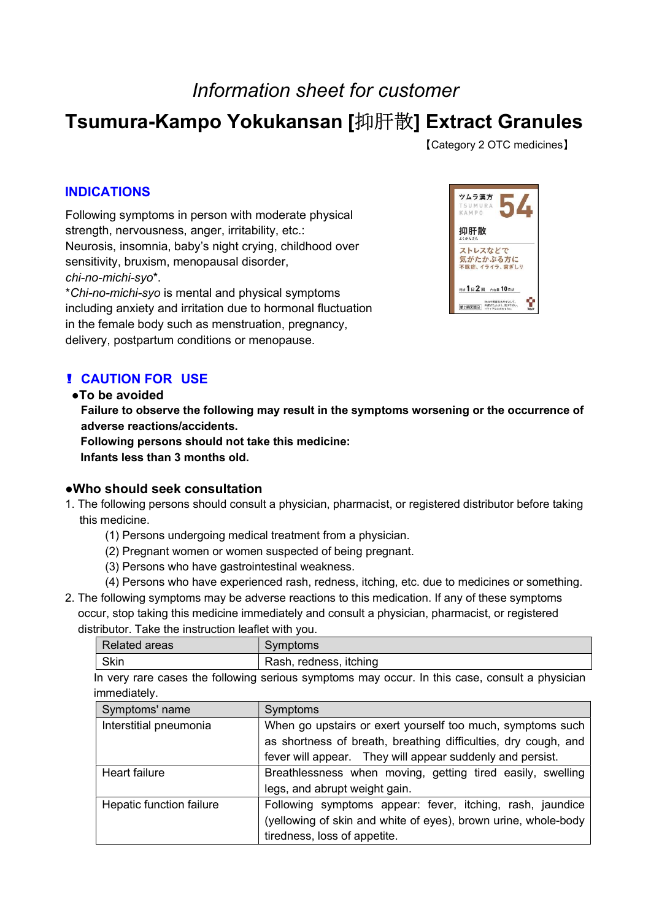# Information sheet for customer

# Tsumura-Kampo Yokukansan [抑肝散] Extract Granules

【Category 2 OTC medicines】

## INDICATIONS

Following symptoms in person with moderate physical strength, nervousness, anger, irritability, etc.: Neurosis, insomnia, baby's night crying, childhood over sensitivity, bruxism, menopausal disorder, chi-no-michi-syo\*.

 \*Chi-no-michi-syo is mental and physical symptoms including anxiety and irritation due to hormonal fluctuation in the female body such as menstruation, pregnancy, delivery, postpartum conditions or menopause.



## ! CAUTION FOR USE

#### ●To be avoided

Failure to observe the following may result in the symptoms worsening or the occurrence of adverse reactions/accidents.

Following persons should not take this medicine: Infants less than 3 months old.

## ●Who should seek consultation

- 1. The following persons should consult a physician, pharmacist, or registered distributor before taking this medicine.
	- (1) Persons undergoing medical treatment from a physician.
	- (2) Pregnant women or women suspected of being pregnant.
	- (3) Persons who have gastrointestinal weakness.
	- (4) Persons who have experienced rash, redness, itching, etc. due to medicines or something.
- 2. The following symptoms may be adverse reactions to this medication. If any of these symptoms occur, stop taking this medicine immediately and consult a physician, pharmacist, or registered distributor. Take the instruction leaflet with you.

| <b>Related areas</b> | Symptoms               |
|----------------------|------------------------|
| Skin                 | Rash, redness, itching |

In very rare cases the following serious symptoms may occur. In this case, consult a physician immediately.

| Symptoms' name           | Symptoms                                                       |  |
|--------------------------|----------------------------------------------------------------|--|
| Interstitial pneumonia   | When go upstairs or exert yourself too much, symptoms such     |  |
|                          | as shortness of breath, breathing difficulties, dry cough, and |  |
|                          | fever will appear. They will appear suddenly and persist.      |  |
| <b>Heart failure</b>     | Breathlessness when moving, getting tired easily, swelling     |  |
|                          | legs, and abrupt weight gain.                                  |  |
| Hepatic function failure | Following symptoms appear: fever, itching, rash, jaundice      |  |
|                          | (yellowing of skin and white of eyes), brown urine, whole-body |  |
|                          | tiredness, loss of appetite.                                   |  |